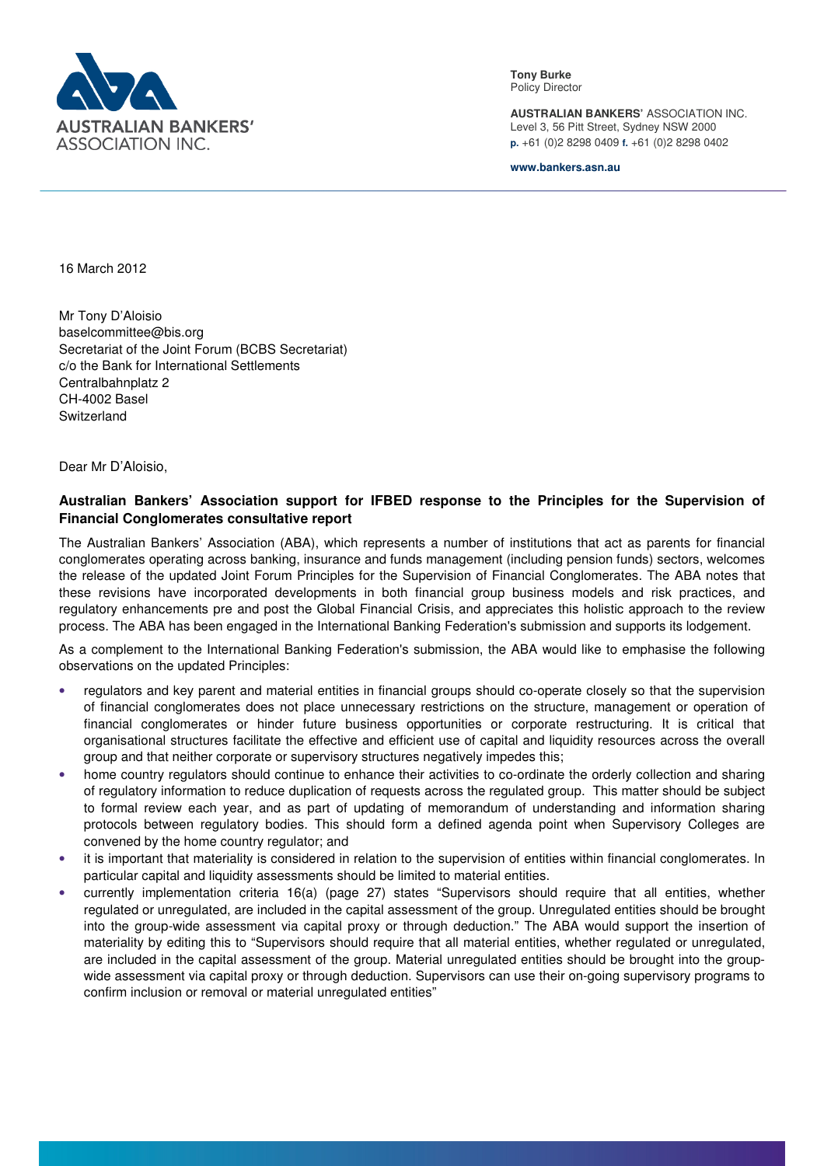

**Tony Burke**  Policy Director

**AUSTRALIAN BANKERS'** ASSOCIATION INC. Level 3, 56 Pitt Street, Sydney NSW 2000 **p.** +61 (0)2 8298 0409 **f.** +61 (0)2 8298 0402

**www.bankers.asn.au**

16 March 2012

Mr Tony D'Aloisio baselcommittee@bis.org Secretariat of the Joint Forum (BCBS Secretariat) c/o the Bank for International Settlements Centralbahnplatz 2 CH-4002 Basel **Switzerland** 

Dear Mr D'Aloisio,

## **Australian Bankers' Association support for IFBED response to the Principles for the Supervision of Financial Conglomerates consultative report**

The Australian Bankers' Association (ABA), which represents a number of institutions that act as parents for financial conglomerates operating across banking, insurance and funds management (including pension funds) sectors, welcomes the release of the updated Joint Forum Principles for the Supervision of Financial Conglomerates. The ABA notes that these revisions have incorporated developments in both financial group business models and risk practices, and regulatory enhancements pre and post the Global Financial Crisis, and appreciates this holistic approach to the review process. The ABA has been engaged in the International Banking Federation's submission and supports its lodgement.

As a complement to the International Banking Federation's submission, the ABA would like to emphasise the following observations on the updated Principles:

- regulators and key parent and material entities in financial groups should co-operate closely so that the supervision of financial conglomerates does not place unnecessary restrictions on the structure, management or operation of financial conglomerates or hinder future business opportunities or corporate restructuring. It is critical that organisational structures facilitate the effective and efficient use of capital and liquidity resources across the overall group and that neither corporate or supervisory structures negatively impedes this;
- home country regulators should continue to enhance their activities to co-ordinate the orderly collection and sharing of regulatory information to reduce duplication of requests across the regulated group. This matter should be subject to formal review each year, and as part of updating of memorandum of understanding and information sharing protocols between regulatory bodies. This should form a defined agenda point when Supervisory Colleges are convened by the home country regulator; and
- it is important that materiality is considered in relation to the supervision of entities within financial conglomerates. In particular capital and liquidity assessments should be limited to material entities.
- currently implementation criteria 16(a) (page 27) states "Supervisors should require that all entities, whether regulated or unregulated, are included in the capital assessment of the group. Unregulated entities should be brought into the group-wide assessment via capital proxy or through deduction." The ABA would support the insertion of materiality by editing this to "Supervisors should require that all material entities, whether regulated or unregulated, are included in the capital assessment of the group. Material unregulated entities should be brought into the groupwide assessment via capital proxy or through deduction. Supervisors can use their on-going supervisory programs to confirm inclusion or removal or material unregulated entities"